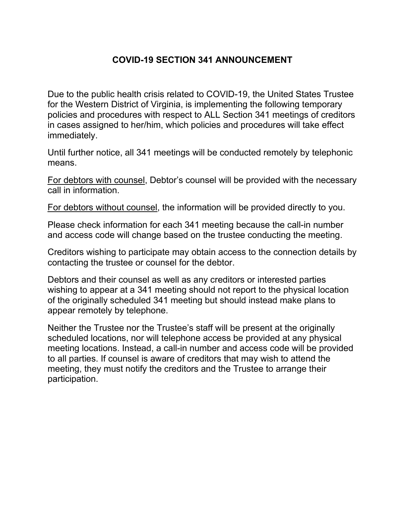# **COVID-19 SECTION 341 ANNOUNCEMENT**

Due to the public health crisis related to COVID-19, the United States Trustee for the Western District of Virginia, is implementing the following temporary policies and procedures with respect to ALL Section 341 meetings of creditors in cases assigned to her/him, which policies and procedures will take effect immediately.

Until further notice, all 341 meetings will be conducted remotely by telephonic means.

For debtors with counsel, Debtor's counsel will be provided with the necessary call in information.

For debtors without counsel, the information will be provided directly to you.

Please check information for each 341 meeting because the call-in number and access code will change based on the trustee conducting the meeting.

Creditors wishing to participate may obtain access to the connection details by contacting the trustee or counsel for the debtor.

Debtors and their counsel as well as any creditors or interested parties wishing to appear at a 341 meeting should not report to the physical location of the originally scheduled 341 meeting but should instead make plans to appear remotely by telephone.

Neither the Trustee nor the Trustee's staff will be present at the originally scheduled locations, nor will telephone access be provided at any physical meeting locations. Instead, a call-in number and access code will be provided to all parties. If counsel is aware of creditors that may wish to attend the meeting, they must notify the creditors and the Trustee to arrange their participation.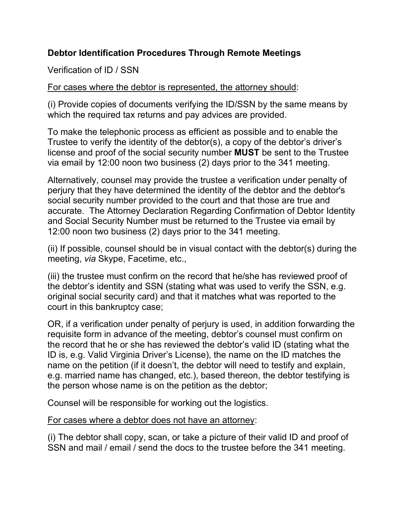## **Debtor Identification Procedures Through Remote Meetings**

Verification of ID / SSN

For cases where the debtor is represented, the attorney should:

(i) Provide copies of documents verifying the ID/SSN by the same means by which the required tax returns and pay advices are provided.

To make the telephonic process as efficient as possible and to enable the Trustee to verify the identity of the debtor(s), a copy of the debtor's driver's license and proof of the social security number **MUST** be sent to the Trustee via email by 12:00 noon two business (2) days prior to the 341 meeting.

Alternatively, counsel may provide the trustee a verification under penalty of perjury that they have determined the identity of the debtor and the debtor's social security number provided to the court and that those are true and accurate. The Attorney Declaration Regarding Confirmation of Debtor Identity and Social Security Number must be returned to the Trustee via email by 12:00 noon two business (2) days prior to the 341 meeting.

(ii) If possible, counsel should be in visual contact with the debtor(s) during the meeting, *via* Skype, Facetime, etc.,

(iii) the trustee must confirm on the record that he/she has reviewed proof of the debtor's identity and SSN (stating what was used to verify the SSN, e.g. original social security card) and that it matches what was reported to the court in this bankruptcy case;

OR, if a verification under penalty of perjury is used, in addition forwarding the requisite form in advance of the meeting, debtor's counsel must confirm on the record that he or she has reviewed the debtor's valid ID (stating what the ID is, e.g. Valid Virginia Driver's License), the name on the ID matches the name on the petition (if it doesn't, the debtor will need to testify and explain, e.g. married name has changed, etc.), based thereon, the debtor testifying is the person whose name is on the petition as the debtor;

Counsel will be responsible for working out the logistics.

For cases where a debtor does not have an attorney:

(i) The debtor shall copy, scan, or take a picture of their valid ID and proof of SSN and mail / email / send the docs to the trustee before the 341 meeting.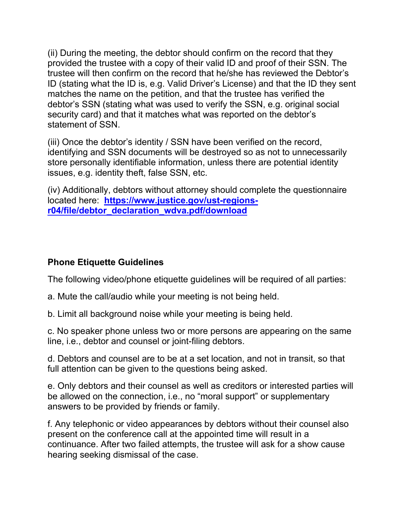(ii) During the meeting, the debtor should confirm on the record that they provided the trustee with a copy of their valid ID and proof of their SSN. The trustee will then confirm on the record that he/she has reviewed the Debtor's ID (stating what the ID is, e.g. Valid Driver's License) and that the ID they sent matches the name on the petition, and that the trustee has verified the debtor's SSN (stating what was used to verify the SSN, e.g. original social security card) and that it matches what was reported on the debtor's statement of SSN.

(iii) Once the debtor's identity / SSN have been verified on the record, identifying and SSN documents will be destroyed so as not to unnecessarily store personally identifiable information, unless there are potential identity issues, e.g. identity theft, false SSN, etc.

(iv) Additionally, debtors without attorney should complete the questionnaire located here: **[https://www.justice.gov/ust-regions](https://www.justice.gov/ust-regions-r04/file/debtor_declaration_wdva.pdf/download)[r04/file/debtor\\_declaration\\_wdva.pdf/download](https://www.justice.gov/ust-regions-r04/file/debtor_declaration_wdva.pdf/download)**

#### **Phone Etiquette Guidelines**

The following video/phone etiquette guidelines will be required of all parties:

- a. Mute the call/audio while your meeting is not being held.
- b. Limit all background noise while your meeting is being held.

c. No speaker phone unless two or more persons are appearing on the same line, i.e., debtor and counsel or joint-filing debtors.

d. Debtors and counsel are to be at a set location, and not in transit, so that full attention can be given to the questions being asked.

e. Only debtors and their counsel as well as creditors or interested parties will be allowed on the connection, i.e., no "moral support" or supplementary answers to be provided by friends or family.

f. Any telephonic or video appearances by debtors without their counsel also present on the conference call at the appointed time will result in a continuance. After two failed attempts, the trustee will ask for a show cause hearing seeking dismissal of the case.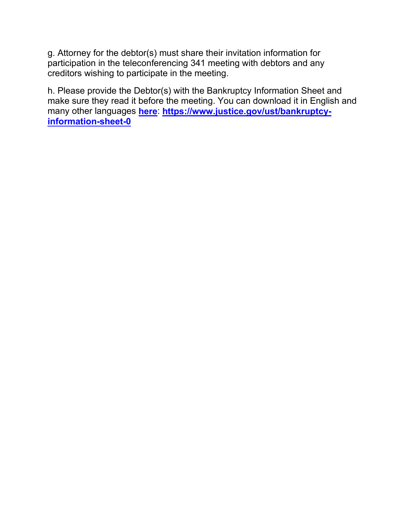g. Attorney for the debtor(s) must share their invitation information for participation in the teleconferencing 341 meeting with debtors and any creditors wishing to participate in the meeting.

h. Please provide the Debtor(s) with the Bankruptcy Information Sheet and make sure they read it before the meeting. You can download it in English and many other languages **[here](https://www.google.com/url?q=https%3A%2F%2Fwww.justice.gov%2Fust%2Fbankruptcy-information-sheet-0&sa=D&sntz=1&usg=AFQjCNF-1pkW-ksJngMeEM2XmKC23fyfDw)**: **[https://www.justice.gov/ust/bankruptcy](https://www.google.com/url?q=https%3A%2F%2Fwww.justice.gov%2Fust%2Fbankruptcy-information-sheet-0&sa=D&sntz=1&usg=AFQjCNF-1pkW-ksJngMeEM2XmKC23fyfDw)[information-sheet-0](https://www.google.com/url?q=https%3A%2F%2Fwww.justice.gov%2Fust%2Fbankruptcy-information-sheet-0&sa=D&sntz=1&usg=AFQjCNF-1pkW-ksJngMeEM2XmKC23fyfDw)**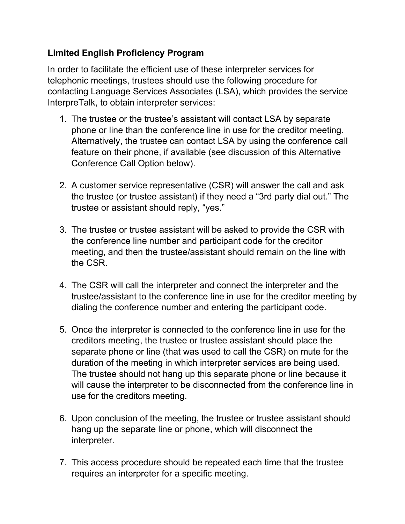# **Limited English Proficiency Program**

In order to facilitate the efficient use of these interpreter services for telephonic meetings, trustees should use the following procedure for contacting Language Services Associates (LSA), which provides the service InterpreTalk, to obtain interpreter services:

- 1. The trustee or the trustee's assistant will contact LSA by separate phone or line than the conference line in use for the creditor meeting. Alternatively, the trustee can contact LSA by using the conference call feature on their phone, if available (see discussion of this Alternative Conference Call Option below).
- 2. A customer service representative (CSR) will answer the call and ask the trustee (or trustee assistant) if they need a "3rd party dial out." The trustee or assistant should reply, "yes."
- 3. The trustee or trustee assistant will be asked to provide the CSR with the conference line number and participant code for the creditor meeting, and then the trustee/assistant should remain on the line with the CSR.
- 4. The CSR will call the interpreter and connect the interpreter and the trustee/assistant to the conference line in use for the creditor meeting by dialing the conference number and entering the participant code.
- 5. Once the interpreter is connected to the conference line in use for the creditors meeting, the trustee or trustee assistant should place the separate phone or line (that was used to call the CSR) on mute for the duration of the meeting in which interpreter services are being used. The trustee should not hang up this separate phone or line because it will cause the interpreter to be disconnected from the conference line in use for the creditors meeting.
- 6. Upon conclusion of the meeting, the trustee or trustee assistant should hang up the separate line or phone, which will disconnect the interpreter.
- 7. This access procedure should be repeated each time that the trustee requires an interpreter for a specific meeting.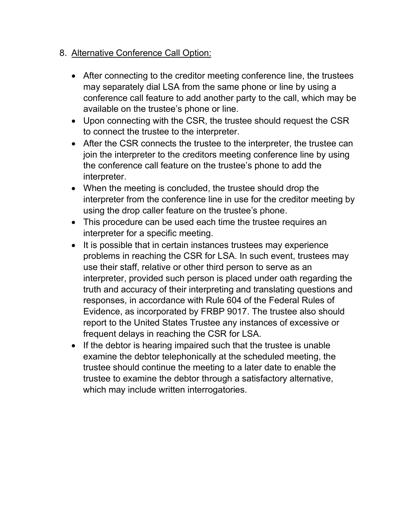#### 8. Alternative Conference Call Option:

- After connecting to the creditor meeting conference line, the trustees may separately dial LSA from the same phone or line by using a conference call feature to add another party to the call, which may be available on the trustee's phone or line.
- Upon connecting with the CSR, the trustee should request the CSR to connect the trustee to the interpreter.
- After the CSR connects the trustee to the interpreter, the trustee can join the interpreter to the creditors meeting conference line by using the conference call feature on the trustee's phone to add the interpreter.
- When the meeting is concluded, the trustee should drop the interpreter from the conference line in use for the creditor meeting by using the drop caller feature on the trustee's phone.
- This procedure can be used each time the trustee requires an interpreter for a specific meeting.
- It is possible that in certain instances trustees may experience problems in reaching the CSR for LSA. In such event, trustees may use their staff, relative or other third person to serve as an interpreter, provided such person is placed under oath regarding the truth and accuracy of their interpreting and translating questions and responses, in accordance with Rule 604 of the Federal Rules of Evidence, as incorporated by FRBP 9017. The trustee also should report to the United States Trustee any instances of excessive or frequent delays in reaching the CSR for LSA.
- If the debtor is hearing impaired such that the trustee is unable examine the debtor telephonically at the scheduled meeting, the trustee should continue the meeting to a later date to enable the trustee to examine the debtor through a satisfactory alternative, which may include written interrogatories.